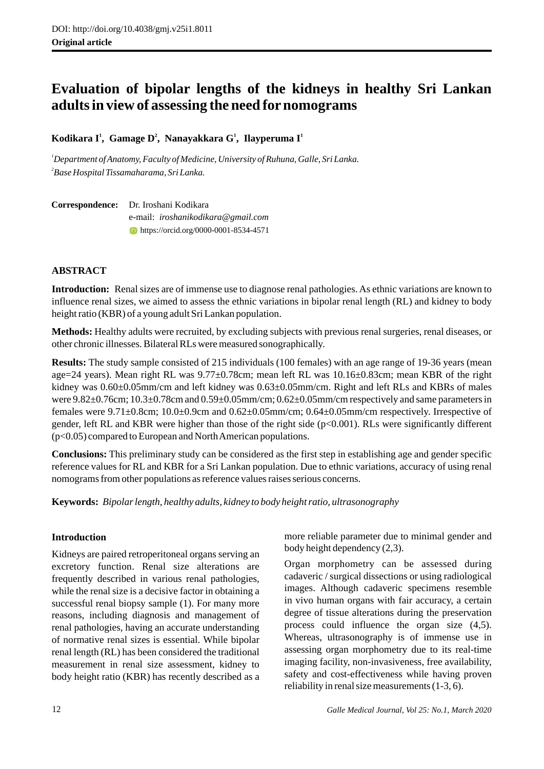# **Evaluation of bipolar lengths of the kidneys in healthy Sri Lankan adults in view of assessing the need fornomograms**

**<sup>1</sup> <sup>2</sup> <sup>1</sup> <sup>1</sup> Kodikara I , Gamage D , Nanayakkara G , Ilayperuma I**

*<sup>1</sup>Department of Anatomy, Faculty of Medicine, University of Ruhuna, Galle, Sri Lanka. 2 Base Hospital Tissamaharama, Sri Lanka.* 

**Correspondence:** Dr. Iroshani Kodikara e-mail: *iroshanikodikara@gmail.com*  https://orcid.org/0000-0001-8534-4571

# **ABSTRACT**

**Introduction:** Renal sizes are of immense use to diagnose renal pathologies. As ethnic variations are known to influence renal sizes, we aimed to assess the ethnic variations in bipolar renal length (RL) and kidney to body height ratio (KBR) of a young adult Sri Lankan population.

**Methods:** Healthy adults were recruited, by excluding subjects with previous renal surgeries, renal diseases, or other chronic illnesses. Bilateral RLs were measured sonographically.

**Results:** The study sample consisted of 215 individuals (100 females) with an age range of 19-36 years (mean age=24 years). Mean right RL was 9.77±0.78cm; mean left RL was 10.16±0.83cm; mean KBR of the right kidney was  $0.60\pm0.05$ mm/cm and left kidney was  $0.63\pm0.05$ mm/cm. Right and left RLs and KBRs of males were 9.82±0.76cm; 10.3±0.78cm and 0.59±0.05mm/cm; 0.62±0.05mm/cm respectively and same parameters in females were 9.71±0.8cm; 10.0±0.9cm and 0.62±0.05mm/cm; 0.64±0.05mm/cm respectively. Irrespective of gender, left RL and KBR were higher than those of the right side (p<0.001). RLs were significantly different (p<0.05) compared to European and North American populations.

**Conclusions:** This preliminary study can be considered as the first step in establishing age and gender specific reference values for RL and KBR for a Sri Lankan population. Due to ethnic variations, accuracy of using renal nomograms from other populations as reference values raises serious concerns.

**Keywords:** *Bipolar length, healthy adults, kidney to body height ratio, ultrasonography*

# **Introduction**

Kidneys are paired retroperitoneal organs serving an excretory function. Renal size alterations are frequently described in various renal pathologies, while the renal size is a decisive factor in obtaining a successful renal biopsy sample (1). For many more reasons, including diagnosis and management of renal pathologies, having an accurate understanding of normative renal sizes is essential. While bipolar renal length (RL) has been considered the traditional measurement in renal size assessment, kidney to body height ratio (KBR) has recently described as a more reliable parameter due to minimal gender and body height dependency (2,3).

Organ morphometry can be assessed during cadaveric / surgical dissections or using radiological images. Although cadaveric specimens resemble in vivo human organs with fair accuracy, a certain degree of tissue alterations during the preservation process could influence the organ size (4,5). Whereas, ultrasonography is of immense use in assessing organ morphometry due to its real-time imaging facility, non-invasiveness, free availability, safety and cost-effectiveness while having proven reliability in renal size measurements (1-3, 6).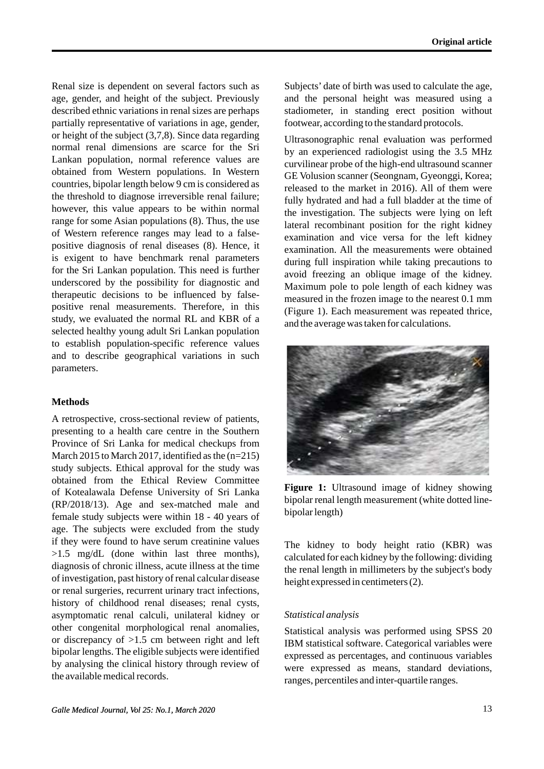Renal size is dependent on several factors such as age, gender, and height of the subject. Previously described ethnic variations in renal sizes are perhaps partially representative of variations in age, gender, or height of the subject (3,7,8). Since data regarding normal renal dimensions are scarce for the Sri Lankan population, normal reference values are obtained from Western populations. In Western countries, bipolar length below 9 cm is considered as the threshold to diagnose irreversible renal failure; however, this value appears to be within normal range for some Asian populations (8). Thus, the use of Western reference ranges may lead to a falsepositive diagnosis of renal diseases (8). Hence, it is exigent to have benchmark renal parameters for the Sri Lankan population. This need is further underscored by the possibility for diagnostic and therapeutic decisions to be influenced by falsepositive renal measurements. Therefore, in this study, we evaluated the normal RL and KBR of a selected healthy young adult Sri Lankan population to establish population-specific reference values and to describe geographical variations in such parameters.

# **Methods**

A retrospective, cross-sectional review of patients, presenting to a health care centre in the Southern Province of Sri Lanka for medical checkups from March 2015 to March 2017, identified as the  $(n=215)$ study subjects. Ethical approval for the study was obtained from the Ethical Review Committee of Kotealawala Defense University of Sri Lanka (RP/2018/13). Age and sex-matched male and female study subjects were within 18 - 40 years of age. The subjects were excluded from the study if they were found to have serum creatinine values >1.5 mg/dL (done within last three months), diagnosis of chronic illness, acute illness at the time of investigation, past history of renal calcular disease or renal surgeries, recurrent urinary tract infections, history of childhood renal diseases; renal cysts, asymptomatic renal calculi, unilateral kidney or other congenital morphological renal anomalies, or discrepancy of >1.5 cm between right and left bipolar lengths. The eligible subjects were identified by analysing the clinical history through review of the available medical records.

Subjects' date of birth was used to calculate the age, and the personal height was measured using a stadiometer, in standing erect position without footwear, according to the standard protocols.

Ultrasonographic renal evaluation was performed by an experienced radiologist using the 3.5 MHz curvilinear probe of the high-end ultrasound scanner GE Volusion scanner (Seongnam, Gyeonggi, Korea; released to the market in 2016). All of them were fully hydrated and had a full bladder at the time of the investigation. The subjects were lying on left lateral recombinant position for the right kidney examination and vice versa for the left kidney examination. All the measurements were obtained during full inspiration while taking precautions to avoid freezing an oblique image of the kidney. Maximum pole to pole length of each kidney was measured in the frozen image to the nearest 0.1 mm (Figure 1). Each measurement was repeated thrice, and the average was taken for calculations.



**Figure 1:** Ultrasound image of kidney showing bipolar renal length measurement (white dotted linebipolar length)

The kidney to body height ratio (KBR) was calculated for each kidney by the following: dividing the renal length in millimeters by the subject's body height expressed in centimeters (2).

#### *Statistical analysis*

Statistical analysis was performed using SPSS 20 IBM statistical software. Categorical variables were expressed as percentages, and continuous variables were expressed as means, standard deviations, ranges, percentiles and inter-quartile ranges.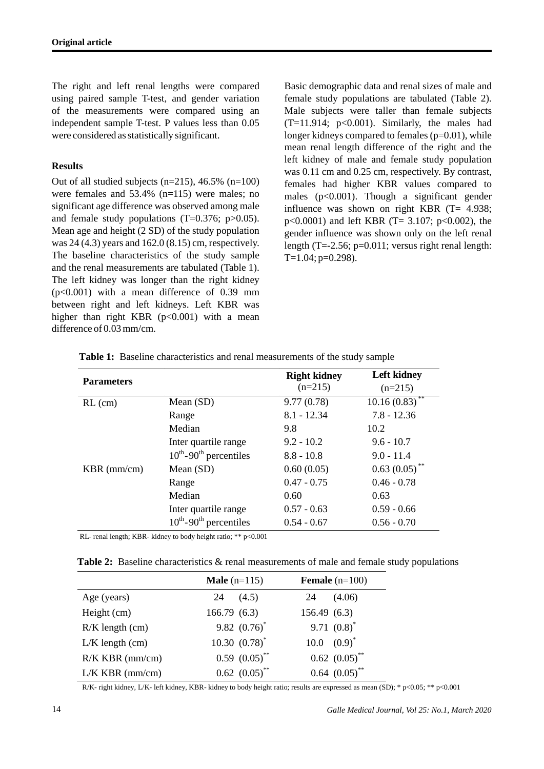The right and left renal lengths were compared using paired sample T-test, and gender variation of the measurements were compared using an independent sample T-test. P values less than 0.05 were considered as statistically significant.

## **Results**

Out of all studied subjects ( $n=215$ ), 46.5% ( $n=100$ ) were females and 53.4% (n=115) were males; no significant age difference was observed among male and female study populations (T=0.376; p>0.05). Mean age and height (2 SD) of the study population was 24 (4.3) years and 162.0 (8.15) cm, respectively. The baseline characteristics of the study sample and the renal measurements are tabulated (Table 1). The left kidney was longer than the right kidney  $(p<0.001)$  with a mean difference of 0.39 mm between right and left kidneys. Left KBR was higher than right KBR  $(p<0.001)$  with a mean difference of 0.03 mm/cm.

Basic demographic data and renal sizes of male and female study populations are tabulated (Table 2). Male subjects were taller than female subjects  $(T=11.914; p<0.001)$ . Similarly, the males had longer kidneys compared to females (p=0.01), while mean renal length difference of the right and the left kidney of male and female study population was 0.11 cm and 0.25 cm, respectively. By contrast, females had higher KBR values compared to males (p<0.001). Though a significant gender influence was shown on right KBR (T= 4.938;  $p<0.0001$ ) and left KBR (T= 3.107;  $p<0.002$ ), the gender influence was shown only on the left renal length (T=-2.56;  $p=0.011$ ; versus right renal length:  $T=1.04$ ; p=0.298).

| <b>Parameters</b> |                                         | <b>Right kidney</b> | <b>Left kidney</b> |
|-------------------|-----------------------------------------|---------------------|--------------------|
|                   |                                         | $(n=215)$           | $(n=215)$          |
| $RL$ (cm)         | Mean $(SD)$                             | 9.77(0.78)          | 10.16(0.83)        |
|                   | Range                                   | $8.1 - 12.34$       | $7.8 - 12.36$      |
|                   | Median                                  | 9.8                 | 10.2               |
|                   | Inter quartile range                    | $9.2 - 10.2$        | $9.6 - 10.7$       |
|                   | $10^{th}$ -90 <sup>th</sup> percentiles | $8.8 - 10.8$        | $9.0 - 11.4$       |
| $KBR$ (mm/cm)     | Mean $(SD)$                             | 0.60(0.05)          | $0.63(0.05)$ **    |
|                   | Range                                   | $0.47 - 0.75$       | $0.46 - 0.78$      |
|                   | Median                                  | 0.60                | 0.63               |
|                   | Inter quartile range                    | $0.57 - 0.63$       | $0.59 - 0.66$      |
|                   | $10^{th}$ -90 <sup>th</sup> percentiles | $0.54 - 0.67$       | $0.56 - 0.70$      |

**Table 1:** Baseline characteristics and renal measurements of the study sample

RL- renal length; KBR- kidney to body height ratio; \*\* p<0.001

**Table 2:** Baseline characteristics & renal measurements of male and female study populations

|                     | <b>Male</b> $(n=115)$         | <b>Female</b> $(n=100)$       |
|---------------------|-------------------------------|-------------------------------|
| Age (years)         | 24<br>(4.5)                   | (4.06)<br>24                  |
| Height (cm)         | 166.79(6.3)                   | 156.49(6.3)                   |
| $R/K$ length $(cm)$ | 9.82 $(0.76)^*$               | 9.71 $(0.8)^*$                |
| $L/K$ length $(cm)$ | $10.30~(0.78)^*$              | $10.0 \quad (0.9)^*$          |
| $R/K$ KBR (mm/cm)   | $0.59 (0.05)$ **              | $0.62$ $(0.05)$ <sup>**</sup> |
| $L/K$ KBR (mm/cm)   | $0.62$ $(0.05)$ <sup>**</sup> | $0.64$ $(0.05)$ <sup>**</sup> |

R/K- right kidney, L/K- left kidney, KBR- kidney to body height ratio; results are expressed as mean (SD); \* p<0.05; \*\* p<0.001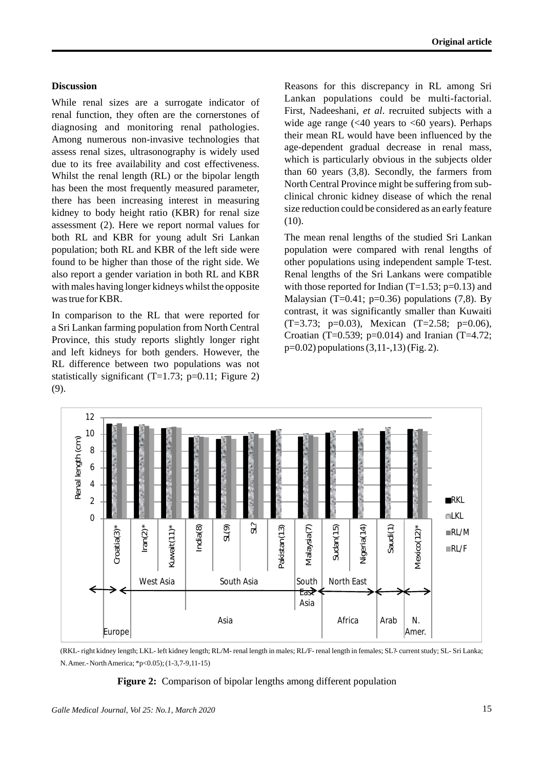## **Discussion**

While renal sizes are a surrogate indicator of renal function, they often are the cornerstones of diagnosing and monitoring renal pathologies. Among numerous non-invasive technologies that assess renal sizes, ultrasonography is widely used due to its free availability and cost effectiveness. Whilst the renal length (RL) or the bipolar length has been the most frequently measured parameter, there has been increasing interest in measuring kidney to body height ratio (KBR) for renal size assessment (2). Here we report normal values for both RL and KBR for young adult Sri Lankan population; both RL and KBR of the left side were found to be higher than those of the right side. We also report a gender variation in both RL and KBR with males having longer kidneys whilst the opposite was true for KBR.

In comparison to the RL that were reported for a Sri Lankan farming population from North Central Province, this study reports slightly longer right and left kidneys for both genders. However, the RL difference between two populations was not statistically significant  $(T=1.73; p=0.11;$  Figure 2) (9).

Reasons for this discrepancy in RL among Sri Lankan populations could be multi-factorial. First, Nadeeshani, *et al*. recruited subjects with a wide age range  $\left( \langle 40 \rangle$  years to  $\langle 60 \rangle$  years). Perhaps their mean RL would have been influenced by the age-dependent gradual decrease in renal mass, which is particularly obvious in the subjects older than 60 years (3,8). Secondly, the farmers from North Central Province might be suffering from subclinical chronic kidney disease of which the renal size reduction could be considered as an early feature (10).

The mean renal lengths of the studied Sri Lankan population were compared with renal lengths of other populations using independent sample T-test. Renal lengths of the Sri Lankans were compatible with those reported for Indian  $(T=1.53; p=0.13)$  and Malaysian (T=0.41; p=0.36) populations  $(7,8)$ . By contrast, it was significantly smaller than Kuwaiti  $(T=3.73; p=0.03)$ , Mexican  $(T=2.58; p=0.06)$ , Croatian (T=0.539; p=0.014) and Iranian (T=4.72; p=0.02) populations (3,11-,13) (Fig. 2).



(RKL- right kidney length; LKL- left kidney length; RL/M- renal length in males; RL/F- renal length in females; SL?- current study; SL- Sri Lanka; N. Amer.- North America; \*p<0.05); (1-3,7-9,11-15)

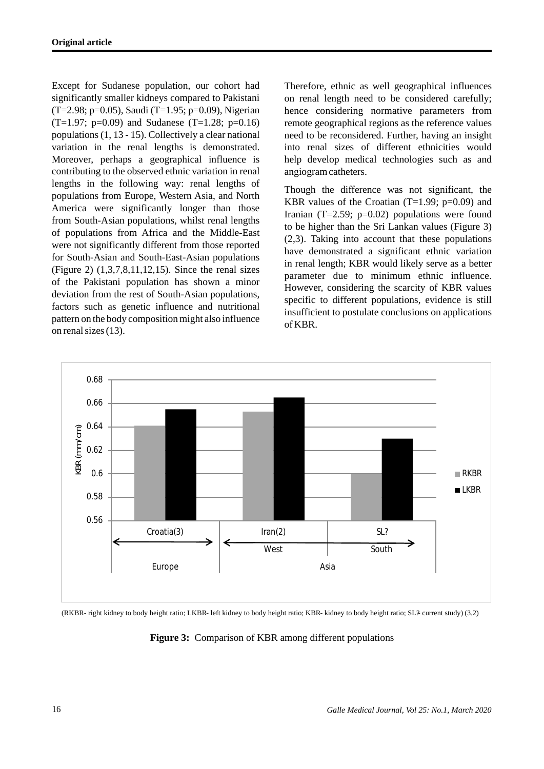Except for Sudanese population, our cohort had significantly smaller kidneys compared to Pakistani (T=2.98; p=0.05), Saudi (T=1.95; p=0.09), Nigerian  $(T=1.97; p=0.09)$  and Sudanese  $(T=1.28; p=0.16)$ populations (1, 13 - 15). Collectively a clear national variation in the renal lengths is demonstrated. Moreover, perhaps a geographical influence is contributing to the observed ethnic variation in renal lengths in the following way: renal lengths of populations from Europe, Western Asia, and North America were significantly longer than those from South-Asian populations, whilst renal lengths of populations from Africa and the Middle-East were not significantly different from those reported for South-Asian and South-East-Asian populations (Figure 2) (1,3,7,8,11,12,15). Since the renal sizes of the Pakistani population has shown a minor deviation from the rest of South-Asian populations, factors such as genetic influence and nutritional pattern on the body composition might also influence on renal sizes (13).

Therefore, ethnic as well geographical influences on renal length need to be considered carefully; hence considering normative parameters from remote geographical regions as the reference values need to be reconsidered. Further, having an insight into renal sizes of different ethnicities would help develop medical technologies such as and angiogram catheters.

Though the difference was not significant, the KBR values of the Croatian  $(T=1.99; p=0.09)$  and Iranian (T=2.59;  $p=0.02$ ) populations were found to be higher than the Sri Lankan values (Figure 3) (2,3). Taking into account that these populations have demonstrated a significant ethnic variation in renal length; KBR would likely serve as a better parameter due to minimum ethnic influence. However, considering the scarcity of KBR values specific to different populations, evidence is still insufficient to postulate conclusions on applications of KBR.



(RKBR- right kidney to body height ratio; LKBR- left kidney to body height ratio; KBR- kidney to body height ratio; SL?- current study) (3,2)

**Figure 3:** Comparison of KBR among different populations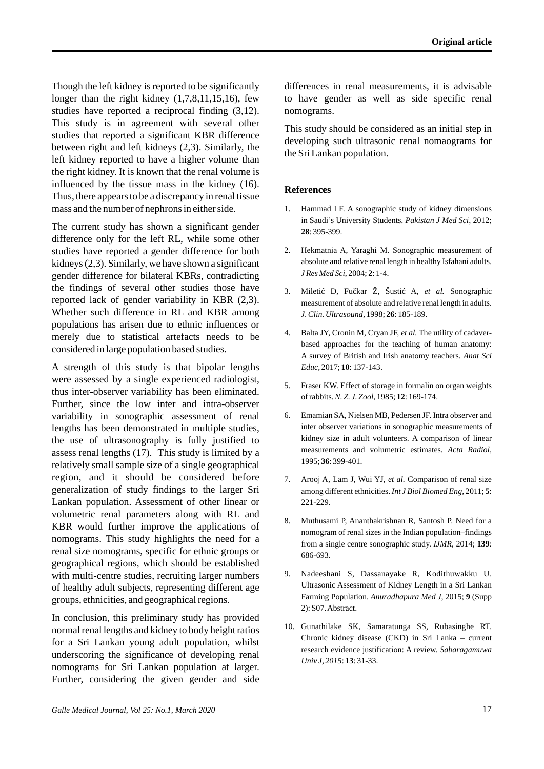Though the left kidney is reported to be significantly longer than the right kidney  $(1,7,8,11,15,16)$ , few studies have reported a reciprocal finding (3,12). This study is in agreement with several other studies that reported a significant KBR difference between right and left kidneys (2,3). Similarly, the left kidney reported to have a higher volume than the right kidney. It is known that the renal volume is influenced by the tissue mass in the kidney (16). Thus, there appears to be a discrepancy in renal tissue mass and the number of nephrons in either side.

The current study has shown a significant gender difference only for the left RL, while some other studies have reported a gender difference for both kidneys (2,3). Similarly, we have shown a significant gender difference for bilateral KBRs, contradicting the findings of several other studies those have reported lack of gender variability in KBR (2,3). Whether such difference in RL and KBR among populations has arisen due to ethnic influences or merely due to statistical artefacts needs to be considered in large population based studies.

A strength of this study is that bipolar lengths were assessed by a single experienced radiologist, thus inter-observer variability has been eliminated. Further, since the low inter and intra-observer variability in sonographic assessment of renal lengths has been demonstrated in multiple studies, the use of ultrasonography is fully justified to assess renal lengths (17). This study is limited by a relatively small sample size of a single geographical region, and it should be considered before generalization of study findings to the larger Sri Lankan population. Assessment of other linear or volumetric renal parameters along with RL and KBR would further improve the applications of nomograms. This study highlights the need for a renal size nomograms, specific for ethnic groups or geographical regions, which should be established with multi-centre studies, recruiting larger numbers of healthy adult subjects, representing different age groups, ethnicities, and geographical regions.

In conclusion, this preliminary study has provided normal renal lengths and kidney to body height ratios for a Sri Lankan young adult population, whilst underscoring the significance of developing renal nomograms for Sri Lankan population at larger. Further, considering the given gender and side differences in renal measurements, it is advisable to have gender as well as side specific renal nomograms.

This study should be considered as an initial step in developing such ultrasonic renal nomaograms for the Sri Lankan population.

## **References**

- 1. Hammad LF. A sonographic study of kidney dimensions in Saudi's University Students. *Pakistan J Med Sci,* 2012; **28**: 395-399.
- 2. Hekmatnia A, Yaraghi M. Sonographic measurement of absolute and relative renal length in healthy Isfahani adults. *J Res Med Sci*, 2004; **2**: 1-4.
- 3. Mileti D, Fu kar Ž, Šusti A, et al. Sonographic measurement of absolute and relative renal length in adults. *J. Clin. Ultrasound,* 1998; **26**: 185-189.
- 4. Balta JY, Cronin M, Cryan JF, *et al.* The utility of cadaverbased approaches for the teaching of human anatomy: A survey of British and Irish anatomy teachers. *Anat Sci Educ,* 2017; **10**: 137-143.
- 5. Fraser KW. Effect of storage in formalin on organ weights of rabbits*. N. Z. J. Zool,* 1985; **12**: 169-174.
- 6. Emamian SA, Nielsen MB, Pedersen JF. Intra observer and inter observer variations in sonographic measurements of kidney size in adult volunteers. A comparison of linear measurements and volumetric estimates. *Acta Radiol,* 1995; **36**: 399-401.
- 7. Arooj A, Lam J, Wui YJ, *et al.* Comparison of renal size among different ethnicities. *Int J Biol Biomed Eng,* 2011; **5**: 221-229.
- 8. Muthusami P, Ananthakrishnan R, Santosh P. Need for a nomogram of renal sizes in the Indian population–findings from a single centre sonographic study. *IJMR*, 2014; **139**: 686-693.
- 9. Nadeeshani S, Dassanayake R, Kodithuwakku U. Ultrasonic Assessment of Kidney Length in a Sri Lankan Farming Population. *Anuradhapura Med J,* 2015; **9** (Supp 2): S07. Abstract.
- 10. Gunathilake SK, Samaratunga SS, Rubasinghe RT. Chronic kidney disease (CKD) in Sri Lanka – current research evidence justification: A review. *Sabaragamuwa Univ J, 2015*: **13**: 31-33.